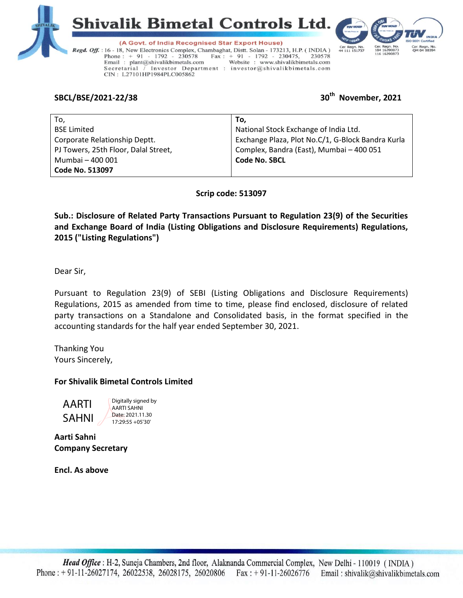





(A Govt. of India Recognised Star Export House) Regd. Off. : 16 - 18, New Electronics Complex, Chambaghat, Distt. Solan - 173213, H.P. (INDIA) Phone:  $+ 91 - 1792 - 230578$  $\text{Fax}: + 91 - 1792 - 230475,$ 230578 Website : www.shivalikbimetals.com Email: plant@shivalikbimetals.com Secretarial / Investor Department : investor@shivalikbimetals.com CIN: L27101HP1984PLC005862

# **SBCL/BSE/2021-22/38 30th November, 2021**

| To.                                  | To.                                               |
|--------------------------------------|---------------------------------------------------|
| <b>BSE Limited</b>                   | National Stock Exchange of India Ltd.             |
| Corporate Relationship Deptt.        | Exchange Plaza, Plot No.C/1, G-Block Bandra Kurla |
| PJ Towers, 25th Floor, Dalal Street, | Complex, Bandra (East), Mumbai - 400 051          |
| Mumbai - 400 001                     | <b>Code No. SBCL</b>                              |
| <b>Code No. 513097</b>               |                                                   |

**Scrip code: 513097**

**Sub.: Disclosure of Related Party Transactions Pursuant to Regulation 23(9) of the Securities and Exchange Board of India (Listing Obligations and Disclosure Requirements) Regulations, 2015 ("Listing Regulations")** 

Dear Sir,

Pursuant to Regulation 23(9) of SEBI (Listing Obligations and Disclosure Requirements) Regulations, 2015 as amended from time to time, please find enclosed, disclosure of related party transactions on a Standalone and Consolidated basis, in the format specified in the accounting standards for the half year ended September 30, 2021.

Thanking You Yours Sincerely,

## **For Shivalik Bimetal Controls Limited**

AARTI SAHNI Digitally signed by AARTI SAHNI Date: 2021.11.30 17:29:55 +05'30'

**Aarti Sahni Company Secretary**

**Encl. As above**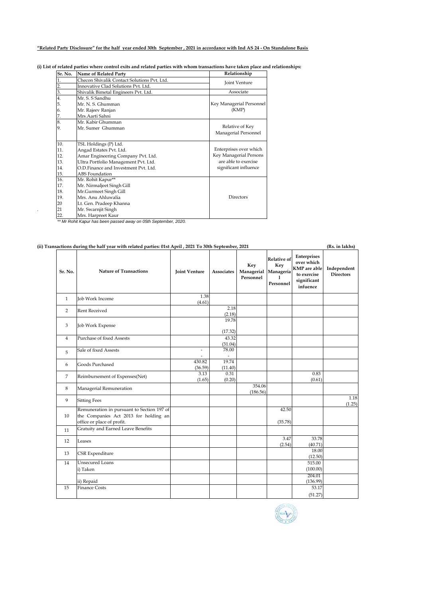### **"Related Party Disclosure" for the half year ended 30th September , 2021 in accordance with Ind AS 24 - On Standalone Basis**

| (i) List of related parties where control exits and related parties with whom transactions have taken place and relationships: |  |  |  |  |
|--------------------------------------------------------------------------------------------------------------------------------|--|--|--|--|
|--------------------------------------------------------------------------------------------------------------------------------|--|--|--|--|

| Sr. No.        | Name of Related Party                       | Relationship             |
|----------------|---------------------------------------------|--------------------------|
|                | Checon Shivalik Contact Solutions Pvt. Ltd. | Joint Venture            |
| $\overline{2}$ | Innovative Clad Solutions Pvt. Ltd.         |                          |
| 3.             | Shivalik Bimetal Engineers Pvt. Ltd.        | Associate                |
| 4.             | Mr. S. S Sandhu                             |                          |
| 5.             | Mr. N. S. Ghumman                           | Key Managerial Personnel |
| 6.             | Mr. Rajeev Ranjan                           | (KMP)                    |
| 7.             | Mrs.Aarti Sahni                             |                          |
| 8.             | Mr. Kabir Ghumman                           |                          |
| 9.             | Mr. Sumer Ghumman                           | Relative of Key          |
|                |                                             | Managerial Personnel     |
| 10.            | TSL Holdings (P) Ltd.                       |                          |
| 11.            | Angad Estates Pvt. Ltd.                     | Enterprises over which   |
| 12.            | Amar Engineering Company Pvt. Ltd.          | Key Managerial Persons   |
| 13.            | Ultra Portfolio Management Pvt. Ltd.        | are able to exercise     |
| 14.            | O.D.Finance and Investment Pvt. Ltd.        | significant influence    |
| 15.            | <b>ABS</b> Foundation                       |                          |
| 16.            | Mr. Rohit Kapur**                           |                          |
| 17.            | Mr. Nirmaljeet Singh Gill                   |                          |
| 18.            | Mr.Gurmeet Singh Gill                       |                          |
| 19.            | Mrs. Anu Ahluwalia                          | Directors                |
| 20             | Lt. Gen. Pradeep Khanna                     |                          |
| 21             | Mr. Swarnjit Singh                          |                          |
| 22.            | Mrs. Harpreet Kaur                          |                          |

22. Mrs. Harpreet Kaur *\*\* Mr Rohit Kapur has been passed away on 05th September, 2020.*

| Sr. No.        | (ii) Transactions during the half year with related parties: 01st April, 2021 To 30th September, 2021<br><b>Nature of Transactions</b> | <b>Joint Venture</b>     | Associates       | Key<br>Managerial<br>Personnel | Relative of<br>Key<br>Manageria<br>Personnel | Enterprises<br>over which<br><b>KMP</b> are able<br>to exercise<br>significant<br>infuence | Independent<br><b>Directors</b> |
|----------------|----------------------------------------------------------------------------------------------------------------------------------------|--------------------------|------------------|--------------------------------|----------------------------------------------|--------------------------------------------------------------------------------------------|---------------------------------|
| $\mathbf{1}$   | Job Work Income                                                                                                                        | 1.38<br>(4.61)           |                  |                                |                                              |                                                                                            |                                 |
| 2              | <b>Rent Received</b>                                                                                                                   |                          | 2.18<br>(2.18)   |                                |                                              |                                                                                            |                                 |
| 3              | Job Work Expense                                                                                                                       |                          | 19.78<br>(17.32) |                                |                                              |                                                                                            |                                 |
| $\overline{4}$ | Purchase of fixed Assests                                                                                                              |                          | 43.32<br>(31.04) |                                |                                              |                                                                                            |                                 |
| 5              | Sale of fixed Assests                                                                                                                  | $\overline{\phantom{a}}$ | 78.00<br>٠       |                                |                                              |                                                                                            |                                 |
| 6              | Goods Purchased                                                                                                                        | 430.82<br>(36.59)        | 19.74<br>(11.40) |                                |                                              |                                                                                            |                                 |
| 7              | Reimbursement of Expenses(Net)                                                                                                         | 3.13<br>(1.65)           | 0.31<br>(0.20)   |                                |                                              | 0.83<br>(0.61)                                                                             |                                 |
| 8              | Managerial Remuneration                                                                                                                |                          |                  | 354.06<br>(186.56)             |                                              |                                                                                            |                                 |
| 9              | <b>Sitting Fees</b>                                                                                                                    |                          |                  |                                |                                              |                                                                                            |                                 |
| 10             | Remuneration in pursuant to Section 197 of<br>the Companies Act 2013 for holding an<br>office or place of profit.                      |                          |                  |                                | 42.50<br>(35.78)                             |                                                                                            |                                 |
| 11             | Gratuity and Earned Leave Benefits                                                                                                     |                          |                  |                                |                                              |                                                                                            |                                 |
| 12             | Leases                                                                                                                                 |                          |                  |                                | 3.47<br>(2.54)                               | 33.78<br>(40.71)                                                                           |                                 |
| 13             | CSR Expenditure                                                                                                                        |                          |                  |                                |                                              | 18.00<br>(12.50)                                                                           |                                 |
| 14             | <b>Unsecured Loans</b><br>i) Taken                                                                                                     |                          |                  |                                |                                              | 515.00<br>(100.00)                                                                         |                                 |
|                | ii) Repaid                                                                                                                             |                          |                  |                                |                                              | 204.01<br>(136.99)                                                                         |                                 |
| 15             | <b>Finance Costs</b>                                                                                                                   |                          |                  |                                |                                              | 53.17                                                                                      |                                 |

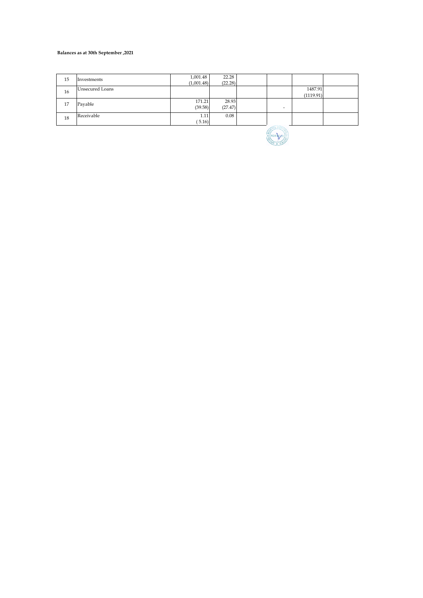#### **Balances as at 30th September ,2021**

| 15 | Investments            | 1,001.48<br>(1,001.48) | 22.28<br>(22.28) |                  |                      |  |
|----|------------------------|------------------------|------------------|------------------|----------------------|--|
| 16 | <b>Unsecured Loans</b> |                        |                  |                  | 1487.91<br>(1119.91) |  |
| 17 | Payable                | 171.21<br>(39.58)      | 28.93<br>(27.47) |                  |                      |  |
| 18 | Receivable             | 1.11<br>(5.16)         | 0.08             | ACO <sub>0</sub> |                      |  |